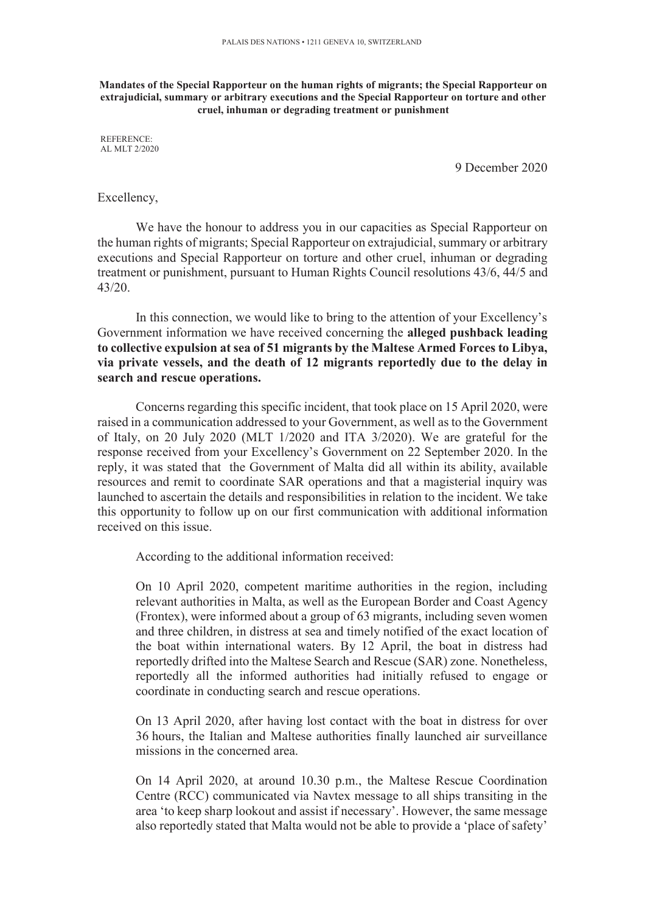**Mandates of the Special Rapporteur on the human rights of migrants; the Special Rapporteur on extrajudicial, summary or arbitrary executions and the Special Rapporteur on torture and other cruel, inhuman or degrading treatment or punishment** 

REFERENCE: AL MLT 2/2020

9 December 2020

## Excellency,

We have the honour to address you in our capacities as Special Rapporteur on the human rights of migrants; Special Rapporteur on extrajudicial, summary or arbitrary executions and Special Rapporteur on torture and other cruel, inhuman or degrading treatment or punishment, pursuant to Human Rights Council resolutions 43/6, 44/5 and 43/20.

In this connection, we would like to bring to the attention of your Excellency's Government information we have received concerning the **alleged pushback leading to collective expulsion at sea of 51 migrants by the Maltese Armed Forces to Libya, via private vessels, and the death of 12 migrants reportedly due to the delay in search and rescue operations.** 

Concerns regarding this specific incident, that took place on 15 April 2020, were raised in a communication addressed to your Government, as well as to the Government of Italy, on 20 July 2020 (MLT 1/2020 and ITA 3/2020). We are grateful for the response received from your Excellency's Government on 22 September 2020. In the reply, it was stated that the Government of Malta did all within its ability, available resources and remit to coordinate SAR operations and that a magisterial inquiry was launched to ascertain the details and responsibilities in relation to the incident. We take this opportunity to follow up on our first communication with additional information received on this issue.

According to the additional information received:

On 10 April 2020, competent maritime authorities in the region, including relevant authorities in Malta, as well as the European Border and Coast Agency (Frontex), were informed about a group of 63 migrants, including seven women and three children, in distress at sea and timely notified of the exact location of the boat within international waters. By 12 April, the boat in distress had reportedly drifted into the Maltese Search and Rescue (SAR) zone. Nonetheless, reportedly all the informed authorities had initially refused to engage or coordinate in conducting search and rescue operations.

On 13 April 2020, after having lost contact with the boat in distress for over 36 hours, the Italian and Maltese authorities finally launched air surveillance missions in the concerned area.

On 14 April 2020, at around 10.30 p.m., the Maltese Rescue Coordination Centre (RCC) communicated via Navtex message to all ships transiting in the area 'to keep sharp lookout and assist if necessary'. However, the same message also reportedly stated that Malta would not be able to provide a 'place of safety'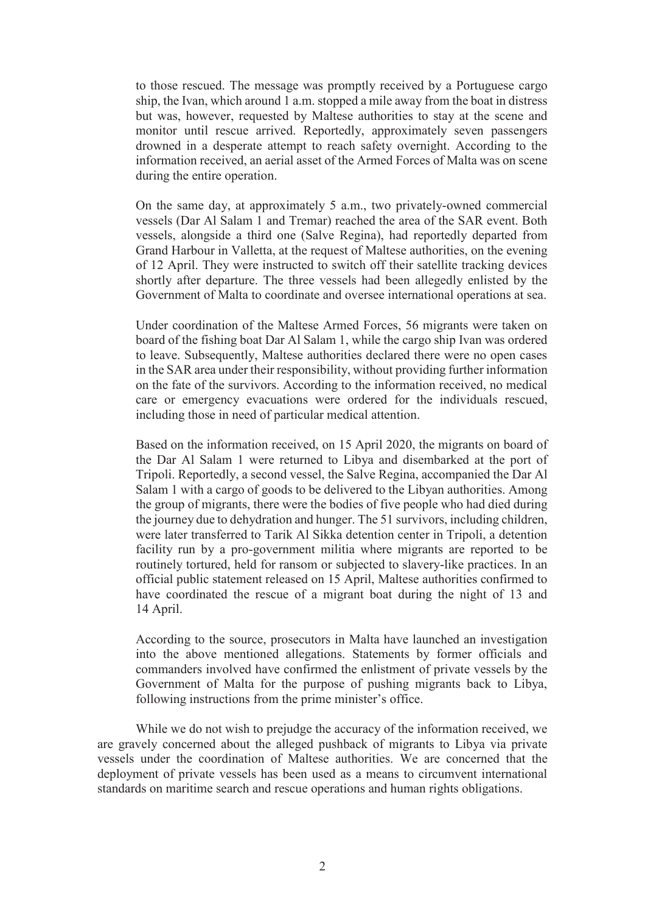to those rescued. The message was promptly received by a Portuguese cargo ship, the Ivan, which around 1 a.m. stopped a mile away from the boat in distress but was, however, requested by Maltese authorities to stay at the scene and monitor until rescue arrived. Reportedly, approximately seven passengers drowned in a desperate attempt to reach safety overnight. According to the information received, an aerial asset of the Armed Forces of Malta was on scene during the entire operation.

On the same day, at approximately 5 a.m., two privately-owned commercial vessels (Dar Al Salam 1 and Tremar) reached the area of the SAR event. Both vessels, alongside a third one (Salve Regina), had reportedly departed from Grand Harbour in Valletta, at the request of Maltese authorities, on the evening of 12 April. They were instructed to switch off their satellite tracking devices shortly after departure. The three vessels had been allegedly enlisted by the Government of Malta to coordinate and oversee international operations at sea.

Under coordination of the Maltese Armed Forces, 56 migrants were taken on board of the fishing boat Dar Al Salam 1, while the cargo ship Ivan was ordered to leave. Subsequently, Maltese authorities declared there were no open cases in the SAR area under their responsibility, without providing further information on the fate of the survivors. According to the information received, no medical care or emergency evacuations were ordered for the individuals rescued, including those in need of particular medical attention.

Based on the information received, on 15 April 2020, the migrants on board of the Dar Al Salam 1 were returned to Libya and disembarked at the port of Tripoli. Reportedly, a second vessel, the Salve Regina, accompanied the Dar Al Salam 1 with a cargo of goods to be delivered to the Libyan authorities. Among the group of migrants, there were the bodies of five people who had died during the journey due to dehydration and hunger. The 51 survivors, including children, were later transferred to Tarik Al Sikka detention center in Tripoli, a detention facility run by a pro-government militia where migrants are reported to be routinely tortured, held for ransom or subjected to slavery-like practices. In an official public statement released on 15 April, Maltese authorities confirmed to have coordinated the rescue of a migrant boat during the night of 13 and 14 April.

According to the source, prosecutors in Malta have launched an investigation into the above mentioned allegations. Statements by former officials and commanders involved have confirmed the enlistment of private vessels by the Government of Malta for the purpose of pushing migrants back to Libya, following instructions from the prime minister's office.

While we do not wish to prejudge the accuracy of the information received, we are gravely concerned about the alleged pushback of migrants to Libya via private vessels under the coordination of Maltese authorities. We are concerned that the deployment of private vessels has been used as a means to circumvent international standards on maritime search and rescue operations and human rights obligations.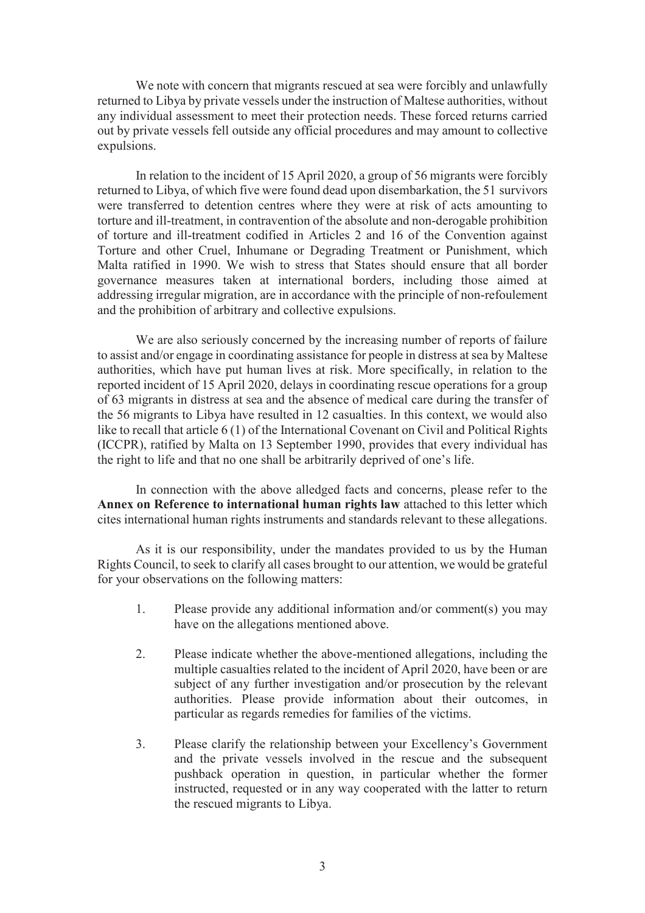We note with concern that migrants rescued at sea were forcibly and unlawfully returned to Libya by private vessels under the instruction of Maltese authorities, without any individual assessment to meet their protection needs. These forced returns carried out by private vessels fell outside any official procedures and may amount to collective expulsions.

In relation to the incident of 15 April 2020, a group of 56 migrants were forcibly returned to Libya, of which five were found dead upon disembarkation, the 51 survivors were transferred to detention centres where they were at risk of acts amounting to torture and ill-treatment, in contravention of the absolute and non-derogable prohibition of torture and ill-treatment codified in Articles 2 and 16 of the Convention against Torture and other Cruel, Inhumane or Degrading Treatment or Punishment, which Malta ratified in 1990. We wish to stress that States should ensure that all border governance measures taken at international borders, including those aimed at addressing irregular migration, are in accordance with the principle of non-refoulement and the prohibition of arbitrary and collective expulsions.

We are also seriously concerned by the increasing number of reports of failure to assist and/or engage in coordinating assistance for people in distress at sea by Maltese authorities, which have put human lives at risk. More specifically, in relation to the reported incident of 15 April 2020, delays in coordinating rescue operations for a group of 63 migrants in distress at sea and the absence of medical care during the transfer of the 56 migrants to Libya have resulted in 12 casualties. In this context, we would also like to recall that article 6 (1) of the International Covenant on Civil and Political Rights (ICCPR), ratified by Malta on 13 September 1990, provides that every individual has the right to life and that no one shall be arbitrarily deprived of one's life.

In connection with the above alledged facts and concerns, please refer to the **Annex on Reference to international human rights law** attached to this letter which cites international human rights instruments and standards relevant to these allegations.

As it is our responsibility, under the mandates provided to us by the Human Rights Council, to seek to clarify all cases brought to our attention, we would be grateful for your observations on the following matters:

- 1. Please provide any additional information and/or comment(s) you may have on the allegations mentioned above.
- 2. Please indicate whether the above-mentioned allegations, including the multiple casualties related to the incident of April 2020, have been or are subject of any further investigation and/or prosecution by the relevant authorities. Please provide information about their outcomes, in particular as regards remedies for families of the victims.
- 3. Please clarify the relationship between your Excellency's Government and the private vessels involved in the rescue and the subsequent pushback operation in question, in particular whether the former instructed, requested or in any way cooperated with the latter to return the rescued migrants to Libya.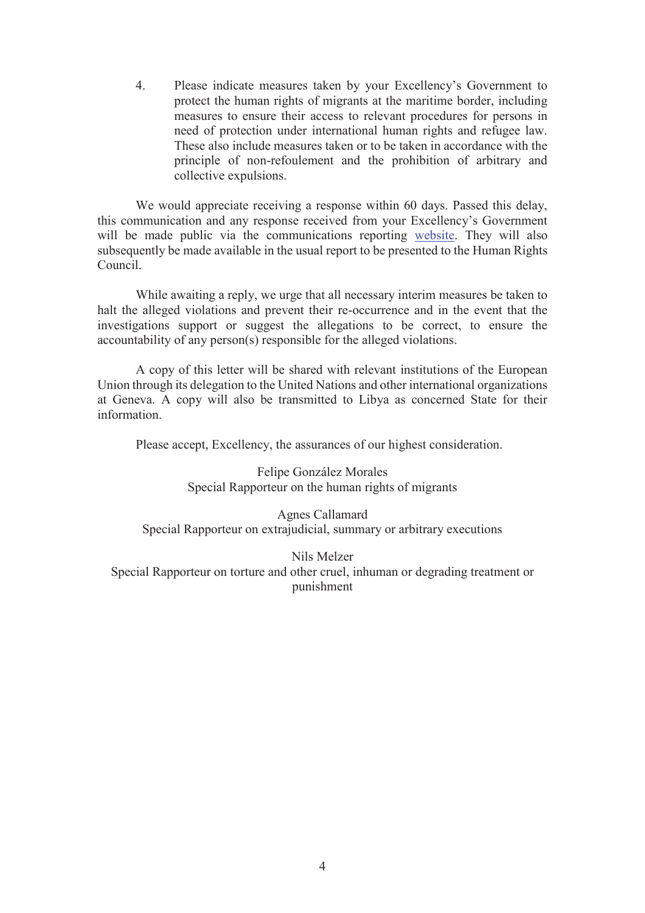4. Please indicate measures taken by your Excellency's Government to protect the human rights of migrants at the maritime border, including measures to ensure their access to relevant procedures for persons in need of protection under international human rights and refugee law. These also include measures taken or to be taken in accordance with the principle of non-refoulement and the prohibition of arbitrary and collective expulsions.

We would appreciate receiving a response within 60 days. Passed this delay, this communication and any response received from your Excellency's Government will be made public via the communications reporting website. They will also subsequently be made available in the usual report to be presented to the Human Rights Council.

While awaiting a reply, we urge that all necessary interim measures be taken to halt the alleged violations and prevent their re-occurrence and in the event that the investigations support or suggest the allegations to be correct, to ensure the accountability of any person(s) responsible for the alleged violations.

A copy of this letter will be shared with relevant institutions of the European Union through its delegation to the United Nations and other international organizations at Geneva. A copy will also be transmitted to Libya as concerned State for their information.

Please accept, Excellency, the assurances of our highest consideration.

Felipe González Morales Special Rapporteur on the human rights of migrants

Agnes Callamard Special Rapporteur on extrajudicial, summary or arbitrary executions

Nils Melzer Special Rapporteur on torture and other cruel, inhuman or degrading treatment or punishment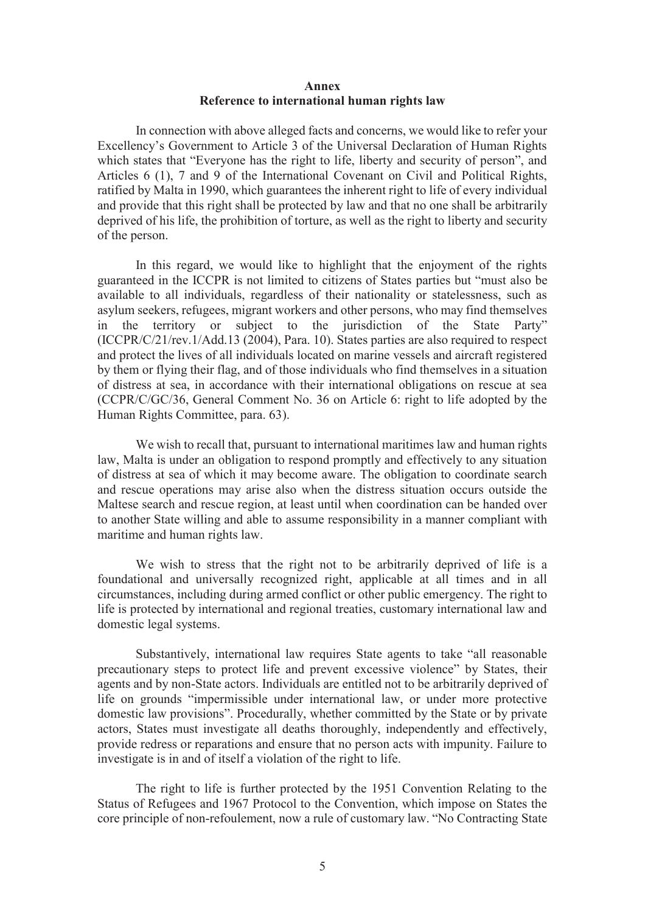## **Annex Reference to international human rights law**

In connection with above alleged facts and concerns, we would like to refer your Excellency's Government to Article 3 of the Universal Declaration of Human Rights which states that "Everyone has the right to life, liberty and security of person", and Articles 6 (1), 7 and 9 of the International Covenant on Civil and Political Rights, ratified by Malta in 1990, which guarantees the inherent right to life of every individual and provide that this right shall be protected by law and that no one shall be arbitrarily deprived of his life, the prohibition of torture, as well as the right to liberty and security of the person.

In this regard, we would like to highlight that the enjoyment of the rights guaranteed in the ICCPR is not limited to citizens of States parties but "must also be available to all individuals, regardless of their nationality or statelessness, such as asylum seekers, refugees, migrant workers and other persons, who may find themselves in the territory or subject to the jurisdiction of the State Party" (ICCPR/C/21/rev.1/Add.13 (2004), Para. 10). States parties are also required to respect and protect the lives of all individuals located on marine vessels and aircraft registered by them or flying their flag, and of those individuals who find themselves in a situation of distress at sea, in accordance with their international obligations on rescue at sea (CCPR/C/GC/36, General Comment No. 36 on Article 6: right to life adopted by the Human Rights Committee, para. 63).

We wish to recall that, pursuant to international maritimes law and human rights law, Malta is under an obligation to respond promptly and effectively to any situation of distress at sea of which it may become aware. The obligation to coordinate search and rescue operations may arise also when the distress situation occurs outside the Maltese search and rescue region, at least until when coordination can be handed over to another State willing and able to assume responsibility in a manner compliant with maritime and human rights law.

We wish to stress that the right not to be arbitrarily deprived of life is a foundational and universally recognized right, applicable at all times and in all circumstances, including during armed conflict or other public emergency. The right to life is protected by international and regional treaties, customary international law and domestic legal systems.

Substantively, international law requires State agents to take "all reasonable precautionary steps to protect life and prevent excessive violence" by States, their agents and by non-State actors. Individuals are entitled not to be arbitrarily deprived of life on grounds "impermissible under international law, or under more protective domestic law provisions". Procedurally, whether committed by the State or by private actors, States must investigate all deaths thoroughly, independently and effectively, provide redress or reparations and ensure that no person acts with impunity. Failure to investigate is in and of itself a violation of the right to life.

The right to life is further protected by the 1951 Convention Relating to the Status of Refugees and 1967 Protocol to the Convention, which impose on States the core principle of non-refoulement, now a rule of customary law. "No Contracting State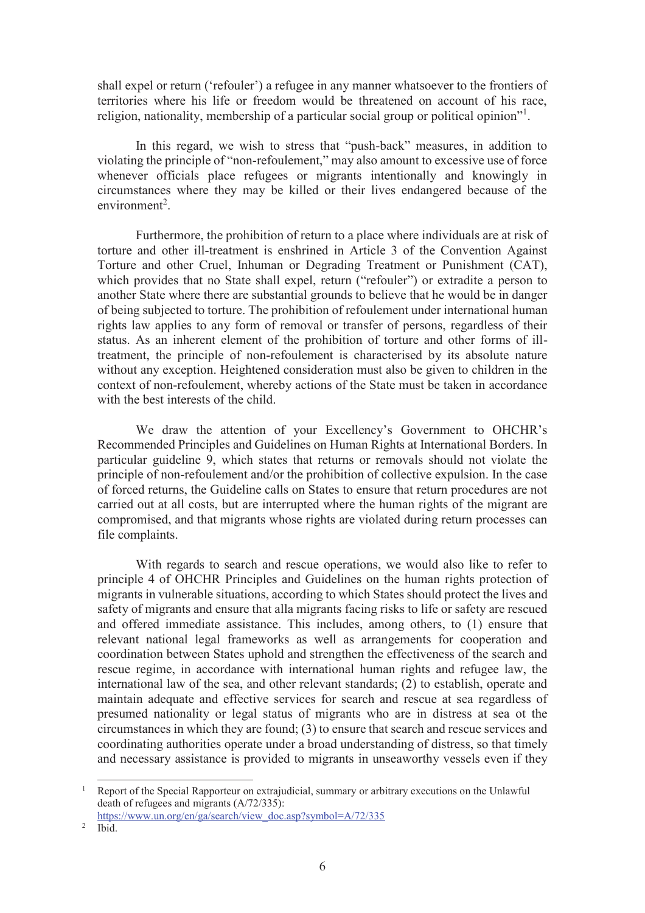shall expel or return ('refouler') a refugee in any manner whatsoever to the frontiers of territories where his life or freedom would be threatened on account of his race, religion, nationality, membership of a particular social group or political opinion"<sup>1</sup>.

In this regard, we wish to stress that "push-back" measures, in addition to violating the principle of "non-refoulement," may also amount to excessive use of force whenever officials place refugees or migrants intentionally and knowingly in circumstances where they may be killed or their lives endangered because of the  $environment<sup>2</sup>$ .

Furthermore, the prohibition of return to a place where individuals are at risk of torture and other ill-treatment is enshrined in Article 3 of the Convention Against Torture and other Cruel, Inhuman or Degrading Treatment or Punishment (CAT), which provides that no State shall expel, return ("refouler") or extradite a person to another State where there are substantial grounds to believe that he would be in danger of being subjected to torture. The prohibition of refoulement under international human rights law applies to any form of removal or transfer of persons, regardless of their status. As an inherent element of the prohibition of torture and other forms of illtreatment, the principle of non-refoulement is characterised by its absolute nature without any exception. Heightened consideration must also be given to children in the context of non-refoulement, whereby actions of the State must be taken in accordance with the best interests of the child.

We draw the attention of your Excellency's Government to OHCHR's Recommended Principles and Guidelines on Human Rights at International Borders. In particular guideline 9, which states that returns or removals should not violate the principle of non-refoulement and/or the prohibition of collective expulsion. In the case of forced returns, the Guideline calls on States to ensure that return procedures are not carried out at all costs, but are interrupted where the human rights of the migrant are compromised, and that migrants whose rights are violated during return processes can file complaints.

With regards to search and rescue operations, we would also like to refer to principle 4 of OHCHR Principles and Guidelines on the human rights protection of migrants in vulnerable situations, according to which States should protect the lives and safety of migrants and ensure that alla migrants facing risks to life or safety are rescued and offered immediate assistance. This includes, among others, to (1) ensure that relevant national legal frameworks as well as arrangements for cooperation and coordination between States uphold and strengthen the effectiveness of the search and rescue regime, in accordance with international human rights and refugee law, the international law of the sea, and other relevant standards; (2) to establish, operate and maintain adequate and effective services for search and rescue at sea regardless of presumed nationality or legal status of migrants who are in distress at sea ot the circumstances in which they are found; (3) to ensure that search and rescue services and coordinating authorities operate under a broad understanding of distress, so that timely and necessary assistance is provided to migrants in unseaworthy vessels even if they

<sup>-</sup><sup>1</sup> Report of the Special Rapporteur on extrajudicial, summary or arbitrary executions on the Unlawful death of refugees and migrants (A/72/335):

https://www.un.org/en/ga/search/view\_doc.asp?symbol=A/72/335

<sup>2</sup> Ibid.